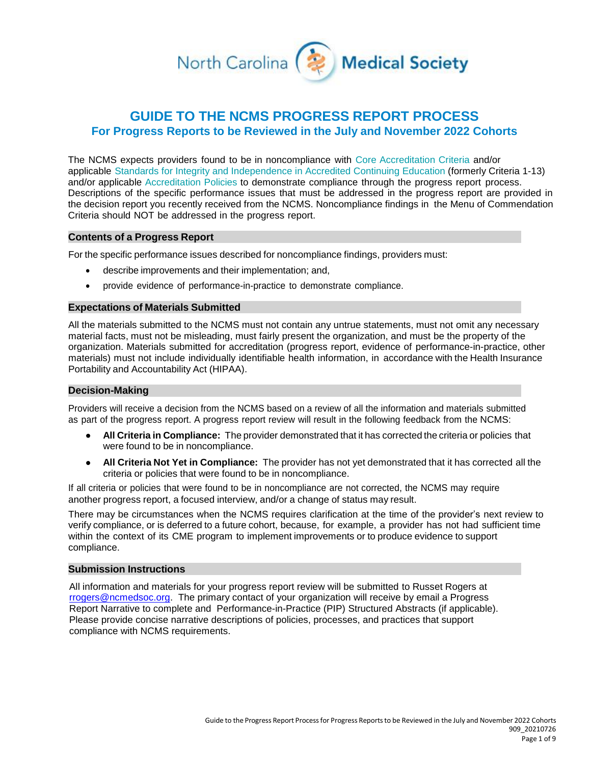

# **GUIDE TO THE NCMS PROGRESS REPORT PROCESS For Progress Reports to be Reviewed in the July and November 2022 Cohorts**

The NCMS expects providers found to be in noncompliance with Core [Accreditation](https://www.accme.org/accreditation-rules/accreditation-criteria) Criteria and/or applicable [Standards for Integrity and](https://www.accme.org/accreditation-rules/standards-for-integrity-independence-accredited-ce/eligibility) Independence in Accredited Continuing Education (formerly Criteria 1-13) and/or applicable [Accreditation](https://www.accme.org/accreditation-rules/policies/cme-activity-and-attendance-records-retention) Policies to demonstrate compliance through the progress report process. Descriptions of the specific performance issues that must be addressed in the progress report are provided in the decision report you recently received from the NCMS. Noncompliance findings in the [Menu of](https://www.accme.org/achieve-commendation) [Commendation](https://www.accme.org/achieve-commendation) [Criteria](https://www.accme.org/achieve-commendation) should NOT be addressed in the progress report.

# **Contents of a Progress Report**

For the specific performance issues described for noncompliance findings, providers must:

- describe improvements and their implementation; and,
- provide evidence of performance-in-practice to demonstrate compliance.

## **Expectations of Materials Submitted**

All the materials submitted to the NCMS must not contain any untrue statements, must not omit any necessary material facts, must not be misleading, must fairly present the organization, and must be the property of the organization. Materials submitted for accreditation (progress report, evidence of performance-in-practice, other materials) must not include individually identifiable health information, in accordance with the Health Insurance Portability and Accountability Act (HIPAA).

#### **Decision-Making**

Providers will receive a decision from the NCMS based on a review of all the information and materials submitted as part of the progress report. A progress report review will result in the following feedback from the NCMS:

- **All Criteria in Compliance:** The provider demonstrated that it has corrected the criteria or policies that were found to be in noncompliance.
- **All Criteria Not Yet in Compliance:** The provider has not yet demonstrated that it has corrected all the criteria or policies that were found to be in noncompliance.

If all criteria or policies that were found to be in noncompliance are not corrected, the NCMS may require another progress report, a focused interview, and/or a change of status may result.

There may be circumstances when the NCMS requires clarification at the time of the provider's next review to verify compliance, or is deferred to a future cohort, because, for example, a provider has not had sufficient time within the context of its CME program to implement improvements or to produce evidence to support compliance.

## **Submission Instructions**

All information and materials for your progress report review will be submitted to Russet Rogers at [rrogers@ncmedsoc.org.](mailto:rrogers@ncmedsoc.org) The primary contact of your organization will receive by email a Progress Report Narrative to complete and Performance-in-Practice (PIP) Structured Abstracts (if applicable). Please provide concise narrative descriptions of policies, processes, and practices that support compliance with NCMS requirements.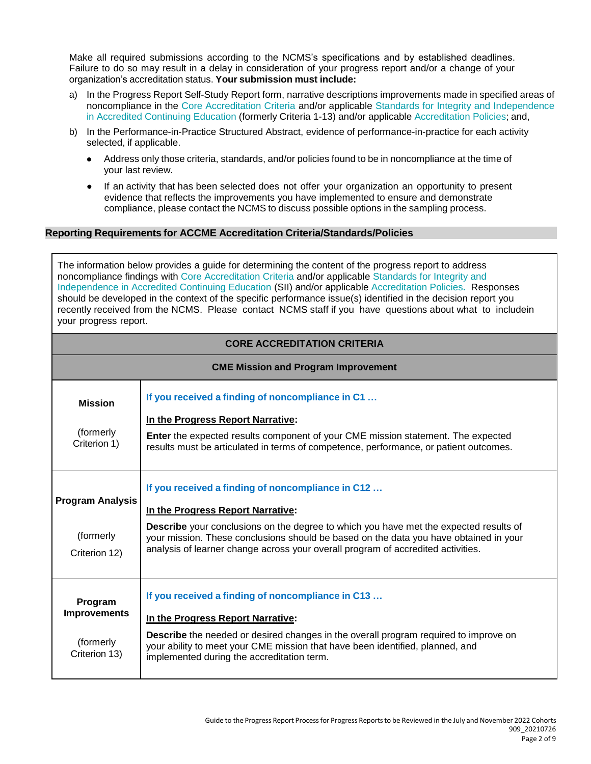Make all required submissions according to the NCMS's specifications and by established deadlines. Failure to do so may result in a delay in consideration of your progress report and/or a change of your organization's accreditation status. **Your submission must include:**

- a) In the Progress Report Self-Study Report form, narrative descriptions improvements made in specified areas of noncompliance in the [Core Accreditation Criteria a](https://www.accme.org/accreditation-rules/accreditation-criteria)nd/or applicable [Standards for Integrity and Independence](https://www.accme.org/accreditation-rules/standards-for-integrity-independence-accredited-ce/eligibility) in Accredited [Continuing](https://www.accme.org/accreditation-rules/standards-for-integrity-independence-accredited-ce/eligibility) Education (formerly Criteria 1-13) and/or applicable [Accreditation](https://www.accme.org/accreditation-rules/policies/cme-activity-and-attendance-records-retention) Policies; and,
- b) In the Performance-in-Practice Structured Abstract, evidence of performance-in-practice for each activity selected, if applicable.
	- Address only those criteria, standards, and/or policies found to be in noncompliance at the time of your last review.
	- If an activity that has been selected does not offer your organization an opportunity to present evidence that reflects the improvements you have implemented to ensure and demonstrate compliance, please contact the NCMS to discuss possible options in the sampling process.

# **Reporting Requirements for ACCME Accreditation Criteria/Standards/Policies**

The information below provides a guide for determining the content of the progress report to address noncompliance findings with [Core Accreditation Criteria a](https://www.accme.org/accreditation-rules/accreditation-criteria)nd/or applicable [Standards for Integrity and](https://www.accme.org/accreditation-rules/standards-for-integrity-independence-accredited-ce/eligibility) [Independence in Accredited Continuing Education \(](https://www.accme.org/accreditation-rules/standards-for-integrity-independence-accredited-ce/eligibility)SII) and/or applicable [Accreditation Policies](https://www.accme.org/accreditation-rules/policies/cme-activity-and-attendance-records-retention)**.** Responses should be developed in the context of the specific performance issue(s) identified in the decision report you recently received from the NCMS. Please contact NCMS staff if you have questions about what to includein your progress report.

| <b>CORE ACCREDITATION CRITERIA</b>                           |                                                                                                                                                                                                                                                                                                                                                              |  |  |
|--------------------------------------------------------------|--------------------------------------------------------------------------------------------------------------------------------------------------------------------------------------------------------------------------------------------------------------------------------------------------------------------------------------------------------------|--|--|
|                                                              | <b>CME Mission and Program Improvement</b>                                                                                                                                                                                                                                                                                                                   |  |  |
| <b>Mission</b><br>(formerly<br>Criterion 1)                  | If you received a finding of noncompliance in C1<br>In the Progress Report Narrative:<br><b>Enter</b> the expected results component of your CME mission statement. The expected<br>results must be articulated in terms of competence, performance, or patient outcomes.                                                                                    |  |  |
| <b>Program Analysis</b><br>(formerly<br>Criterion 12)        | If you received a finding of noncompliance in C12<br>In the Progress Report Narrative:<br>Describe your conclusions on the degree to which you have met the expected results of<br>your mission. These conclusions should be based on the data you have obtained in your<br>analysis of learner change across your overall program of accredited activities. |  |  |
| Program<br><b>Improvements</b><br>(formerly<br>Criterion 13) | If you received a finding of noncompliance in C13<br>In the Progress Report Narrative:<br><b>Describe</b> the needed or desired changes in the overall program required to improve on<br>your ability to meet your CME mission that have been identified, planned, and<br>implemented during the accreditation term.                                         |  |  |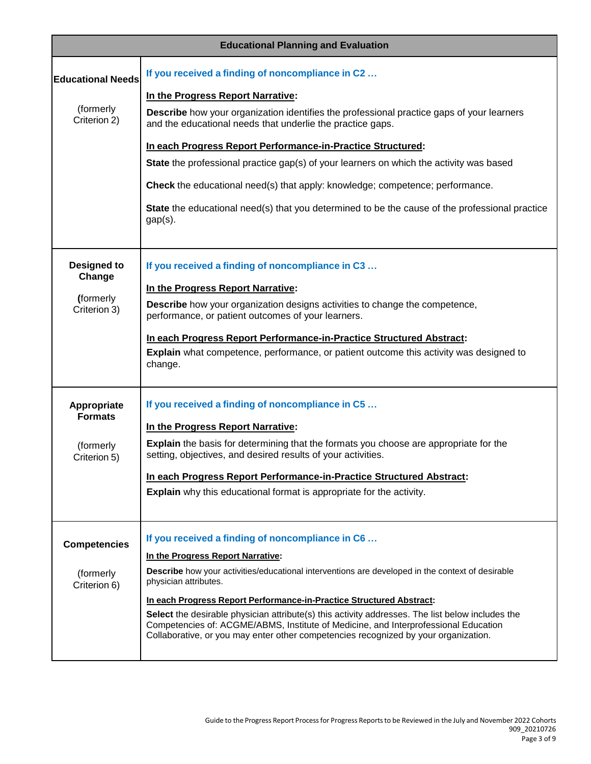| <b>Educational Planning and Evaluation</b> |                                                                                                                                                                                                                                                                                |
|--------------------------------------------|--------------------------------------------------------------------------------------------------------------------------------------------------------------------------------------------------------------------------------------------------------------------------------|
| <b>Educational Needs</b>                   | If you received a finding of noncompliance in C2                                                                                                                                                                                                                               |
|                                            | In the Progress Report Narrative:                                                                                                                                                                                                                                              |
| (formerly<br>Criterion 2)                  | <b>Describe</b> how your organization identifies the professional practice gaps of your learners<br>and the educational needs that underlie the practice gaps.                                                                                                                 |
|                                            | In each Progress Report Performance-in-Practice Structured:                                                                                                                                                                                                                    |
|                                            | <b>State</b> the professional practice gap(s) of your learners on which the activity was based                                                                                                                                                                                 |
|                                            | <b>Check</b> the educational need(s) that apply: knowledge; competence; performance.                                                                                                                                                                                           |
|                                            | State the educational need(s) that you determined to be the cause of the professional practice<br>$gap(s)$ .                                                                                                                                                                   |
|                                            |                                                                                                                                                                                                                                                                                |
| <b>Designed to</b><br>Change               | If you received a finding of noncompliance in C3                                                                                                                                                                                                                               |
|                                            | In the Progress Report Narrative:                                                                                                                                                                                                                                              |
| (formerly<br>Criterion 3)                  | <b>Describe</b> how your organization designs activities to change the competence,<br>performance, or patient outcomes of your learners.                                                                                                                                       |
|                                            | In each Progress Report Performance-in-Practice Structured Abstract:                                                                                                                                                                                                           |
|                                            | Explain what competence, performance, or patient outcome this activity was designed to<br>change.                                                                                                                                                                              |
| Appropriate<br><b>Formats</b>              | If you received a finding of noncompliance in C5                                                                                                                                                                                                                               |
|                                            | In the Progress Report Narrative:                                                                                                                                                                                                                                              |
| (formerly<br>Criterion 5)                  | <b>Explain</b> the basis for determining that the formats you choose are appropriate for the<br>setting, objectives, and desired results of your activities.                                                                                                                   |
|                                            | In each Progress Report Performance-in-Practice Structured Abstract:                                                                                                                                                                                                           |
|                                            | <b>Explain</b> why this educational format is appropriate for the activity.                                                                                                                                                                                                    |
|                                            | If you received a finding of noncompliance in C6                                                                                                                                                                                                                               |
| <b>Competencies</b>                        | In the Progress Report Narrative:                                                                                                                                                                                                                                              |
| (formerly<br>Criterion 6)                  | Describe how your activities/educational interventions are developed in the context of desirable<br>physician attributes.                                                                                                                                                      |
|                                            | In each Progress Report Performance-in-Practice Structured Abstract:                                                                                                                                                                                                           |
|                                            | Select the desirable physician attribute(s) this activity addresses. The list below includes the<br>Competencies of: ACGME/ABMS, Institute of Medicine, and Interprofessional Education<br>Collaborative, or you may enter other competencies recognized by your organization. |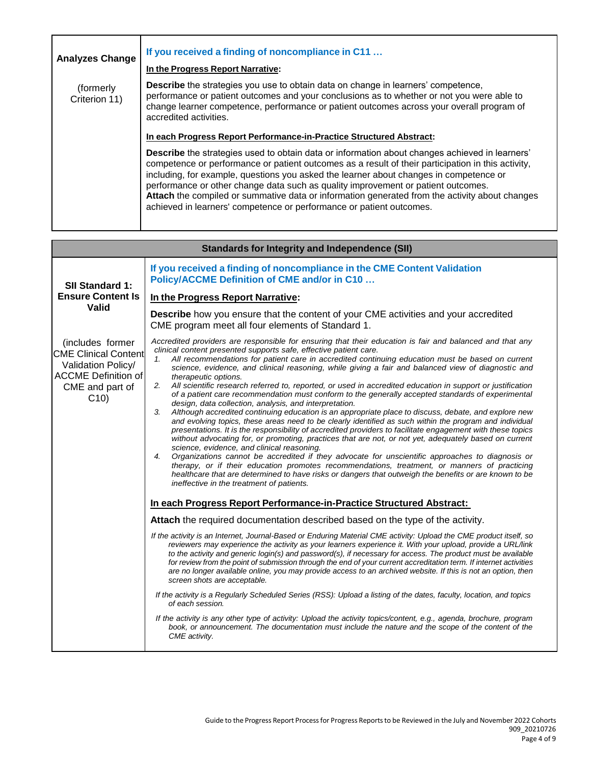| <b>Analyzes Change</b>     | If you received a finding of noncompliance in C11<br>In the Progress Report Narrative:                                                                                                                                                                                                                                                                                                                                                                                                                                                                        |
|----------------------------|---------------------------------------------------------------------------------------------------------------------------------------------------------------------------------------------------------------------------------------------------------------------------------------------------------------------------------------------------------------------------------------------------------------------------------------------------------------------------------------------------------------------------------------------------------------|
| (formerly<br>Criterion 11) | Describe the strategies you use to obtain data on change in learners' competence,<br>performance or patient outcomes and your conclusions as to whether or not you were able to<br>change learner competence, performance or patient outcomes across your overall program of<br>accredited activities.                                                                                                                                                                                                                                                        |
|                            | In each Progress Report Performance-in-Practice Structured Abstract:                                                                                                                                                                                                                                                                                                                                                                                                                                                                                          |
|                            | Describe the strategies used to obtain data or information about changes achieved in learners'<br>competence or performance or patient outcomes as a result of their participation in this activity,<br>including, for example, questions you asked the learner about changes in competence or<br>performance or other change data such as quality improvement or patient outcomes.<br>Attach the compiled or summative data or information generated from the activity about changes<br>achieved in learners' competence or performance or patient outcomes. |

|                                                                                                                               | <b>Standards for Integrity and Independence (SII)</b>                                                                                                                                                                                                                                                                                                                                                                                                                                                                                                                                                                                                                                                                                                                                                                                                                                                                                                                                                                                                                                                                                                                                                                                                                                                                                                                                                                                                                                                                                                                                                                                                                                                                                                                                                                                                                                                                                                                                                                                                                                                                                                                                                                                                                                                                                                                                                                                                                                                                                                                                                                                                                                                                                                 |
|-------------------------------------------------------------------------------------------------------------------------------|-------------------------------------------------------------------------------------------------------------------------------------------------------------------------------------------------------------------------------------------------------------------------------------------------------------------------------------------------------------------------------------------------------------------------------------------------------------------------------------------------------------------------------------------------------------------------------------------------------------------------------------------------------------------------------------------------------------------------------------------------------------------------------------------------------------------------------------------------------------------------------------------------------------------------------------------------------------------------------------------------------------------------------------------------------------------------------------------------------------------------------------------------------------------------------------------------------------------------------------------------------------------------------------------------------------------------------------------------------------------------------------------------------------------------------------------------------------------------------------------------------------------------------------------------------------------------------------------------------------------------------------------------------------------------------------------------------------------------------------------------------------------------------------------------------------------------------------------------------------------------------------------------------------------------------------------------------------------------------------------------------------------------------------------------------------------------------------------------------------------------------------------------------------------------------------------------------------------------------------------------------------------------------------------------------------------------------------------------------------------------------------------------------------------------------------------------------------------------------------------------------------------------------------------------------------------------------------------------------------------------------------------------------------------------------------------------------------------------------------------------------|
| <b>SII Standard 1:</b>                                                                                                        | If you received a finding of noncompliance in the CME Content Validation<br><b>Policy/ACCME Definition of CME and/or in C10</b>                                                                                                                                                                                                                                                                                                                                                                                                                                                                                                                                                                                                                                                                                                                                                                                                                                                                                                                                                                                                                                                                                                                                                                                                                                                                                                                                                                                                                                                                                                                                                                                                                                                                                                                                                                                                                                                                                                                                                                                                                                                                                                                                                                                                                                                                                                                                                                                                                                                                                                                                                                                                                       |
| <b>Ensure Content Is</b>                                                                                                      | In the Progress Report Narrative:                                                                                                                                                                                                                                                                                                                                                                                                                                                                                                                                                                                                                                                                                                                                                                                                                                                                                                                                                                                                                                                                                                                                                                                                                                                                                                                                                                                                                                                                                                                                                                                                                                                                                                                                                                                                                                                                                                                                                                                                                                                                                                                                                                                                                                                                                                                                                                                                                                                                                                                                                                                                                                                                                                                     |
| <b>Valid</b>                                                                                                                  | <b>Describe</b> how you ensure that the content of your CME activities and your accredited<br>CME program meet all four elements of Standard 1.                                                                                                                                                                                                                                                                                                                                                                                                                                                                                                                                                                                                                                                                                                                                                                                                                                                                                                                                                                                                                                                                                                                                                                                                                                                                                                                                                                                                                                                                                                                                                                                                                                                                                                                                                                                                                                                                                                                                                                                                                                                                                                                                                                                                                                                                                                                                                                                                                                                                                                                                                                                                       |
| (includes former<br><b>CME Clinical Content</b><br>Validation Policy/<br><b>ACCME Definition of</b><br>CME and part of<br>C10 | Accredited providers are responsible for ensuring that their education is fair and balanced and that any<br>clinical content presented supports safe, effective patient care.<br>All recommendations for patient care in accredited continuing education must be based on current<br>1.<br>science, evidence, and clinical reasoning, while giving a fair and balanced view of diagnostic and<br>therapeutic options.<br>All scientific research referred to, reported, or used in accredited education in support or justification<br>2.<br>of a patient care recommendation must conform to the generally accepted standards of experimental<br>design, data collection, analysis, and interpretation.<br>Although accredited continuing education is an appropriate place to discuss, debate, and explore new<br>3.<br>and evolving topics, these areas need to be clearly identified as such within the program and individual<br>presentations. It is the responsibility of accredited providers to facilitate engagement with these topics<br>without advocating for, or promoting, practices that are not, or not yet, adequately based on current<br>science, evidence, and clinical reasoning.<br>Organizations cannot be accredited if they advocate for unscientific approaches to diagnosis or<br>4.<br>therapy, or if their education promotes recommendations, treatment, or manners of practicing<br>healthcare that are determined to have risks or dangers that outweigh the benefits or are known to be<br>ineffective in the treatment of patients.<br>In each Progress Report Performance-in-Practice Structured Abstract:<br>Attach the required documentation described based on the type of the activity.<br>If the activity is an Internet, Journal-Based or Enduring Material CME activity: Upload the CME product itself, so<br>reviewers may experience the activity as your learners experience it. With your upload, provide a URL/link<br>to the activity and generic login(s) and password(s), if necessary for access. The product must be available<br>for review from the point of submission through the end of your current accreditation term. If internet activities<br>are no longer available online, you may provide access to an archived website. If this is not an option, then<br>screen shots are acceptable.<br>If the activity is a Regularly Scheduled Series (RSS): Upload a listing of the dates, faculty, location, and topics<br>of each session.<br>If the activity is any other type of activity: Upload the activity topics/content, e.g., agenda, brochure, program<br>book, or announcement. The documentation must include the nature and the scope of the content of the<br>CME activity. |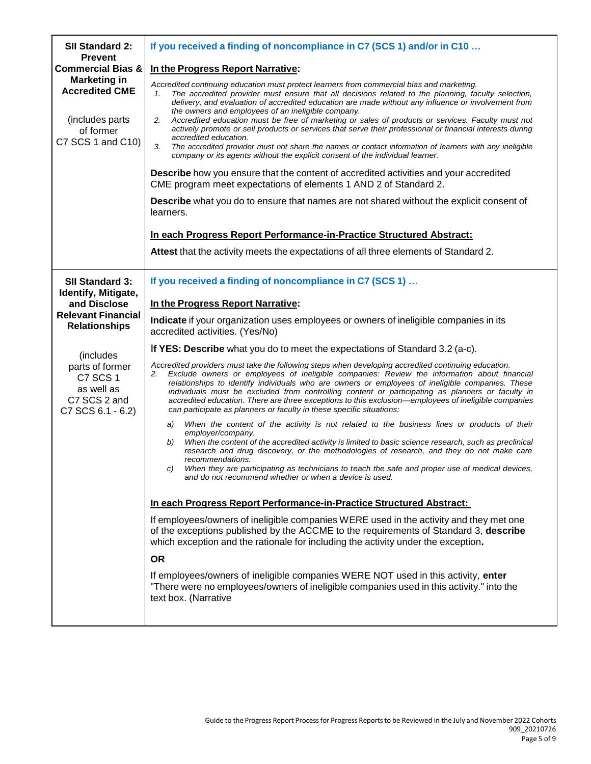| SII Standard 2:                                                                                    | If you received a finding of noncompliance in C7 (SCS 1) and/or in C10                                                                                                                                                                                                                                                                                                                                                                                                                                                                                                                                                                                                                                                                                                                                                |
|----------------------------------------------------------------------------------------------------|-----------------------------------------------------------------------------------------------------------------------------------------------------------------------------------------------------------------------------------------------------------------------------------------------------------------------------------------------------------------------------------------------------------------------------------------------------------------------------------------------------------------------------------------------------------------------------------------------------------------------------------------------------------------------------------------------------------------------------------------------------------------------------------------------------------------------|
| <b>Prevent</b><br><b>Commercial Bias &amp;</b>                                                     | In the Progress Report Narrative:                                                                                                                                                                                                                                                                                                                                                                                                                                                                                                                                                                                                                                                                                                                                                                                     |
| <b>Marketing in</b><br><b>Accredited CME</b><br>(includes parts)<br>of former<br>C7 SCS 1 and C10) | Accredited continuing education must protect learners from commercial bias and marketing.<br>The accredited provider must ensure that all decisions related to the planning, faculty selection,<br>1.<br>delivery, and evaluation of accredited education are made without any influence or involvement from<br>the owners and employees of an ineligible company.<br>Accredited education must be free of marketing or sales of products or services. Faculty must not<br>2.<br>actively promote or sell products or services that serve their professional or financial interests during<br>accredited education.<br>3.<br>The accredited provider must not share the names or contact information of learners with any ineligible<br>company or its agents without the explicit consent of the individual learner. |
|                                                                                                    | <b>Describe</b> how you ensure that the content of accredited activities and your accredited<br>CME program meet expectations of elements 1 AND 2 of Standard 2.                                                                                                                                                                                                                                                                                                                                                                                                                                                                                                                                                                                                                                                      |
|                                                                                                    | <b>Describe</b> what you do to ensure that names are not shared without the explicit consent of<br>learners.                                                                                                                                                                                                                                                                                                                                                                                                                                                                                                                                                                                                                                                                                                          |
|                                                                                                    | In each Progress Report Performance-in-Practice Structured Abstract:                                                                                                                                                                                                                                                                                                                                                                                                                                                                                                                                                                                                                                                                                                                                                  |
|                                                                                                    | Attest that the activity meets the expectations of all three elements of Standard 2.                                                                                                                                                                                                                                                                                                                                                                                                                                                                                                                                                                                                                                                                                                                                  |
| <b>SII Standard 3:</b>                                                                             | If you received a finding of noncompliance in C7 (SCS 1)                                                                                                                                                                                                                                                                                                                                                                                                                                                                                                                                                                                                                                                                                                                                                              |
| Identify, Mitigate,<br>and Disclose                                                                | In the Progress Report Narrative:                                                                                                                                                                                                                                                                                                                                                                                                                                                                                                                                                                                                                                                                                                                                                                                     |
| <b>Relevant Financial</b><br><b>Relationships</b>                                                  | Indicate if your organization uses employees or owners of ineligible companies in its<br>accredited activities. (Yes/No)                                                                                                                                                                                                                                                                                                                                                                                                                                                                                                                                                                                                                                                                                              |
| (includes)                                                                                         | If YES: Describe what you do to meet the expectations of Standard 3.2 (a-c).                                                                                                                                                                                                                                                                                                                                                                                                                                                                                                                                                                                                                                                                                                                                          |
| parts of former<br>C7 SCS 1<br>as well as<br>C7 SCS 2 and<br>C7 SCS 6.1 - 6.2)                     | Accredited providers must take the following steps when developing accredited continuing education.<br>Exclude owners or employees of ineligible companies: Review the information about financial<br>2.<br>relationships to identify individuals who are owners or employees of ineligible companies. These<br>individuals must be excluded from controlling content or participating as planners or faculty in<br>accredited education. There are three exceptions to this exclusion—employees of ineligible companies<br>can participate as planners or faculty in these specific situations:                                                                                                                                                                                                                      |
|                                                                                                    | When the content of the activity is not related to the business lines or products of their<br>a)<br>employer/company.                                                                                                                                                                                                                                                                                                                                                                                                                                                                                                                                                                                                                                                                                                 |
|                                                                                                    | When the content of the accredited activity is limited to basic science research, such as preclinical<br>b)<br>research and drug discovery, or the methodologies of research, and they do not make care<br>recommendations.<br>When they are participating as technicians to teach the safe and proper use of medical devices,<br>C)                                                                                                                                                                                                                                                                                                                                                                                                                                                                                  |
|                                                                                                    | and do not recommend whether or when a device is used.                                                                                                                                                                                                                                                                                                                                                                                                                                                                                                                                                                                                                                                                                                                                                                |
|                                                                                                    | In each Progress Report Performance-in-Practice Structured Abstract:                                                                                                                                                                                                                                                                                                                                                                                                                                                                                                                                                                                                                                                                                                                                                  |
|                                                                                                    | If employees/owners of ineligible companies WERE used in the activity and they met one<br>of the exceptions published by the ACCME to the requirements of Standard 3, describe<br>which exception and the rationale for including the activity under the exception.                                                                                                                                                                                                                                                                                                                                                                                                                                                                                                                                                   |
|                                                                                                    | <b>OR</b>                                                                                                                                                                                                                                                                                                                                                                                                                                                                                                                                                                                                                                                                                                                                                                                                             |
|                                                                                                    | If employees/owners of ineligible companies WERE NOT used in this activity, enter<br>"There were no employees/owners of ineligible companies used in this activity." into the<br>text box. (Narrative                                                                                                                                                                                                                                                                                                                                                                                                                                                                                                                                                                                                                 |
|                                                                                                    |                                                                                                                                                                                                                                                                                                                                                                                                                                                                                                                                                                                                                                                                                                                                                                                                                       |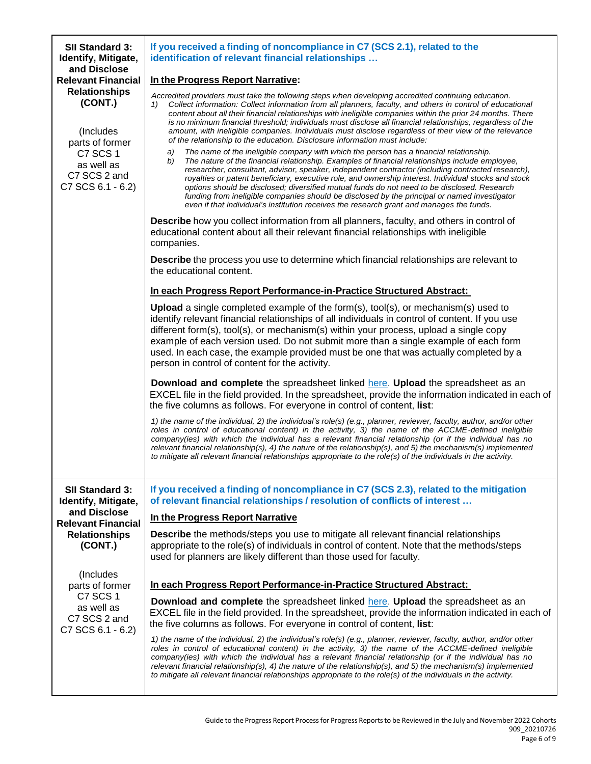| <b>SII Standard 3:</b><br>Identify, Mitigate,                               | If you received a finding of noncompliance in C7 (SCS 2.1), related to the<br>identification of relevant financial relationships                                                                                                                                                                                                                                                                                                                                                                                                                                                                                                                                                                                                                                                                                                                      |
|-----------------------------------------------------------------------------|-------------------------------------------------------------------------------------------------------------------------------------------------------------------------------------------------------------------------------------------------------------------------------------------------------------------------------------------------------------------------------------------------------------------------------------------------------------------------------------------------------------------------------------------------------------------------------------------------------------------------------------------------------------------------------------------------------------------------------------------------------------------------------------------------------------------------------------------------------|
| and Disclose<br><b>Relevant Financial</b>                                   | In the Progress Report Narrative:                                                                                                                                                                                                                                                                                                                                                                                                                                                                                                                                                                                                                                                                                                                                                                                                                     |
| <b>Relationships</b><br>(CONT.)<br>(Includes<br>parts of former<br>C7 SCS 1 | Accredited providers must take the following steps when developing accredited continuing education.<br>Collect information: Collect information from all planners, faculty, and others in control of educational<br>1)<br>content about all their financial relationships with ineligible companies within the prior 24 months. There<br>is no minimum financial threshold; individuals must disclose all financial relationships, regardless of the<br>amount, with ineligible companies. Individuals must disclose regardless of their view of the relevance<br>of the relationship to the education. Disclosure information must include:<br>The name of the ineligible company with which the person has a financial relationship.<br>a)<br>b)<br>The nature of the financial relationship. Examples of financial relationships include employee, |
| as well as<br>C7 SCS 2 and<br>C7 SCS 6.1 - 6.2)                             | researcher, consultant, advisor, speaker, independent contractor (including contracted research),<br>royalties or patent beneficiary, executive role, and ownership interest. Individual stocks and stock<br>options should be disclosed; diversified mutual funds do not need to be disclosed. Research<br>funding from ineligible companies should be disclosed by the principal or named investigator<br>even if that individual's institution receives the research grant and manages the funds.                                                                                                                                                                                                                                                                                                                                                  |
|                                                                             | <b>Describe</b> how you collect information from all planners, faculty, and others in control of<br>educational content about all their relevant financial relationships with ineligible<br>companies.                                                                                                                                                                                                                                                                                                                                                                                                                                                                                                                                                                                                                                                |
|                                                                             | <b>Describe</b> the process you use to determine which financial relationships are relevant to<br>the educational content.                                                                                                                                                                                                                                                                                                                                                                                                                                                                                                                                                                                                                                                                                                                            |
|                                                                             | In each Progress Report Performance-in-Practice Structured Abstract:                                                                                                                                                                                                                                                                                                                                                                                                                                                                                                                                                                                                                                                                                                                                                                                  |
|                                                                             | <b>Upload</b> a single completed example of the form $(s)$ , tool $(s)$ , or mechanism $(s)$ used to<br>identify relevant financial relationships of all individuals in control of content. If you use<br>different form(s), tool(s), or mechanism(s) within your process, upload a single copy<br>example of each version used. Do not submit more than a single example of each form<br>used. In each case, the example provided must be one that was actually completed by a<br>person in control of content for the activity.                                                                                                                                                                                                                                                                                                                     |
|                                                                             | Download and complete the spreadsheet linked here. Upload the spreadsheet as an<br>EXCEL file in the field provided. In the spreadsheet, provide the information indicated in each of<br>the five columns as follows. For everyone in control of content, list:                                                                                                                                                                                                                                                                                                                                                                                                                                                                                                                                                                                       |
|                                                                             | 1) the name of the individual, 2) the individual's role(s) (e.g., planner, reviewer, faculty, author, and/or other<br>roles in control of educational content) in the activity, 3) the name of the ACCME-defined ineligible<br>company(ies) with which the individual has a relevant financial relationship (or if the individual has no<br>relevant financial relationship(s), 4) the nature of the relationship(s), and 5) the mechanism(s) implemented<br>to mitigate all relevant financial relationships appropriate to the role(s) of the individuals in the activity.                                                                                                                                                                                                                                                                          |
| <b>SII Standard 3:</b><br>Identify, Mitigate,                               | If you received a finding of noncompliance in C7 (SCS 2.3), related to the mitigation<br>of relevant financial relationships / resolution of conflicts of interest                                                                                                                                                                                                                                                                                                                                                                                                                                                                                                                                                                                                                                                                                    |
| and Disclose<br><b>Relevant Financial</b>                                   | In the Progress Report Narrative                                                                                                                                                                                                                                                                                                                                                                                                                                                                                                                                                                                                                                                                                                                                                                                                                      |
| <b>Relationships</b><br>(CONT.)                                             | <b>Describe</b> the methods/steps you use to mitigate all relevant financial relationships<br>appropriate to the role(s) of individuals in control of content. Note that the methods/steps<br>used for planners are likely different than those used for faculty.                                                                                                                                                                                                                                                                                                                                                                                                                                                                                                                                                                                     |
| (Includes)<br>parts of former                                               | In each Progress Report Performance-in-Practice Structured Abstract:                                                                                                                                                                                                                                                                                                                                                                                                                                                                                                                                                                                                                                                                                                                                                                                  |
| C7 SCS 1<br>as well as<br>C7 SCS 2 and<br>C7 SCS 6.1 - 6.2)                 | <b>Download and complete</b> the spreadsheet linked here. Upload the spreadsheet as an<br>EXCEL file in the field provided. In the spreadsheet, provide the information indicated in each of<br>the five columns as follows. For everyone in control of content, list:                                                                                                                                                                                                                                                                                                                                                                                                                                                                                                                                                                                |
|                                                                             | 1) the name of the individual, 2) the individual's role(s) (e.g., planner, reviewer, faculty, author, and/or other<br>roles in control of educational content) in the activity, 3) the name of the ACCME-defined ineligible<br>company(ies) with which the individual has a relevant financial relationship (or if the individual has no<br>relevant financial relationship(s), 4) the nature of the relationship(s), and 5) the mechanism(s) implemented<br>to mitigate all relevant financial relationships appropriate to the role(s) of the individuals in the activity.                                                                                                                                                                                                                                                                          |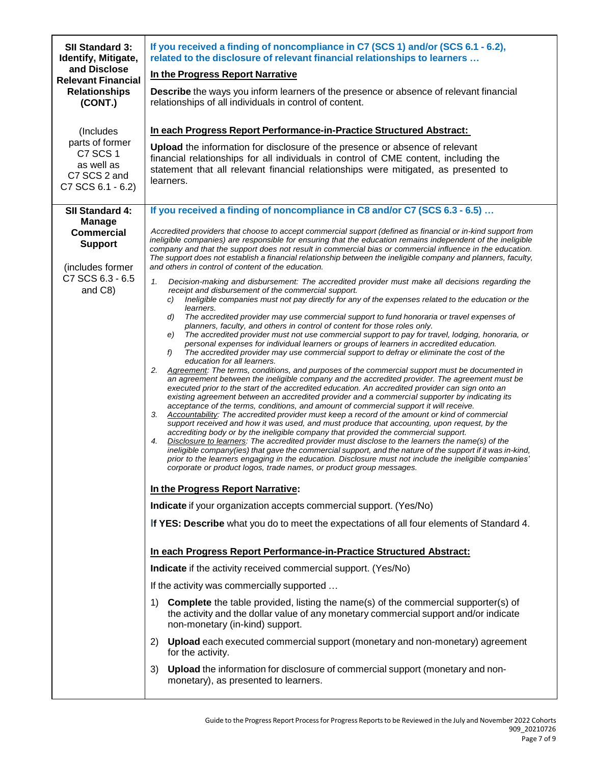| <b>SII Standard 3:</b><br>Identify, Mitigate,                                                                              | If you received a finding of noncompliance in C7 (SCS 1) and/or (SCS 6.1 - 6.2),<br>related to the disclosure of relevant financial relationships to learners                                                                                                                                                                                                                                                                                                                                                                                                                                                                                                                                                                                                                                                                                                                                                                                                                                                                                                                                                                                                                                                                                                                                                                                                                                                                                                                                                                                                                                                                                                                                                                                                                                                                                                                                                                                                                                                                                                                                                                                                                                                                                                                                                                                                                                                                                                                                                                                                                                                                                                                                                                                |
|----------------------------------------------------------------------------------------------------------------------------|----------------------------------------------------------------------------------------------------------------------------------------------------------------------------------------------------------------------------------------------------------------------------------------------------------------------------------------------------------------------------------------------------------------------------------------------------------------------------------------------------------------------------------------------------------------------------------------------------------------------------------------------------------------------------------------------------------------------------------------------------------------------------------------------------------------------------------------------------------------------------------------------------------------------------------------------------------------------------------------------------------------------------------------------------------------------------------------------------------------------------------------------------------------------------------------------------------------------------------------------------------------------------------------------------------------------------------------------------------------------------------------------------------------------------------------------------------------------------------------------------------------------------------------------------------------------------------------------------------------------------------------------------------------------------------------------------------------------------------------------------------------------------------------------------------------------------------------------------------------------------------------------------------------------------------------------------------------------------------------------------------------------------------------------------------------------------------------------------------------------------------------------------------------------------------------------------------------------------------------------------------------------------------------------------------------------------------------------------------------------------------------------------------------------------------------------------------------------------------------------------------------------------------------------------------------------------------------------------------------------------------------------------------------------------------------------------------------------------------------------|
| and Disclose<br><b>Relevant Financial</b>                                                                                  | In the Progress Report Narrative                                                                                                                                                                                                                                                                                                                                                                                                                                                                                                                                                                                                                                                                                                                                                                                                                                                                                                                                                                                                                                                                                                                                                                                                                                                                                                                                                                                                                                                                                                                                                                                                                                                                                                                                                                                                                                                                                                                                                                                                                                                                                                                                                                                                                                                                                                                                                                                                                                                                                                                                                                                                                                                                                                             |
| <b>Relationships</b><br>(CONT.)                                                                                            | <b>Describe</b> the ways you inform learners of the presence or absence of relevant financial<br>relationships of all individuals in control of content.                                                                                                                                                                                                                                                                                                                                                                                                                                                                                                                                                                                                                                                                                                                                                                                                                                                                                                                                                                                                                                                                                                                                                                                                                                                                                                                                                                                                                                                                                                                                                                                                                                                                                                                                                                                                                                                                                                                                                                                                                                                                                                                                                                                                                                                                                                                                                                                                                                                                                                                                                                                     |
| (Includes                                                                                                                  | In each Progress Report Performance-in-Practice Structured Abstract:                                                                                                                                                                                                                                                                                                                                                                                                                                                                                                                                                                                                                                                                                                                                                                                                                                                                                                                                                                                                                                                                                                                                                                                                                                                                                                                                                                                                                                                                                                                                                                                                                                                                                                                                                                                                                                                                                                                                                                                                                                                                                                                                                                                                                                                                                                                                                                                                                                                                                                                                                                                                                                                                         |
| parts of former<br>C7 SCS 1<br>as well as<br>C7 SCS 2 and<br>C7 SCS 6.1 - 6.2)                                             | Upload the information for disclosure of the presence or absence of relevant<br>financial relationships for all individuals in control of CME content, including the<br>statement that all relevant financial relationships were mitigated, as presented to<br>learners.                                                                                                                                                                                                                                                                                                                                                                                                                                                                                                                                                                                                                                                                                                                                                                                                                                                                                                                                                                                                                                                                                                                                                                                                                                                                                                                                                                                                                                                                                                                                                                                                                                                                                                                                                                                                                                                                                                                                                                                                                                                                                                                                                                                                                                                                                                                                                                                                                                                                     |
| SII Standard 4:<br><b>Manage</b><br><b>Commercial</b><br><b>Support</b><br>(includes former<br>C7 SCS 6.3 - 6.5<br>and C8) | If you received a finding of noncompliance in C8 and/or C7 (SCS 6.3 - 6.5)<br>Accredited providers that choose to accept commercial support (defined as financial or in-kind support from<br>ineligible companies) are responsible for ensuring that the education remains independent of the ineligible<br>company and that the support does not result in commercial bias or commercial influence in the education.<br>The support does not establish a financial relationship between the ineligible company and planners, faculty,<br>and others in control of content of the education.<br>1.<br>Decision-making and disbursement: The accredited provider must make all decisions regarding the<br>receipt and disbursement of the commercial support.<br>Ineligible companies must not pay directly for any of the expenses related to the education or the<br>C)<br>learners.<br>The accredited provider may use commercial support to fund honoraria or travel expenses of<br>d)<br>planners, faculty, and others in control of content for those roles only.<br>The accredited provider must not use commercial support to pay for travel, lodging, honoraria, or<br>e)<br>personal expenses for individual learners or groups of learners in accredited education.<br>The accredited provider may use commercial support to defray or eliminate the cost of the<br>f)<br>education for all learners.<br>Agreement: The terms, conditions, and purposes of the commercial support must be documented in<br>2.<br>an agreement between the ineligible company and the accredited provider. The agreement must be<br>executed prior to the start of the accredited education. An accredited provider can sign onto an<br>existing agreement between an accredited provider and a commercial supporter by indicating its<br>acceptance of the terms, conditions, and amount of commercial support it will receive.<br>3.<br>Accountability: The accredited provider must keep a record of the amount or kind of commercial<br>support received and how it was used, and must produce that accounting, upon request, by the<br>accrediting body or by the ineligible company that provided the commercial support.<br>4.<br>Disclosure to learners: The accredited provider must disclose to the learners the name(s) of the<br>ineligible company(ies) that gave the commercial support, and the nature of the support if it was in-kind,<br>prior to the learners engaging in the education. Disclosure must not include the ineligible companies'<br>corporate or product logos, trade names, or product group messages.<br>In the Progress Report Narrative:<br>Indicate if your organization accepts commercial support. (Yes/No) |
|                                                                                                                            | If YES: Describe what you do to meet the expectations of all four elements of Standard 4.                                                                                                                                                                                                                                                                                                                                                                                                                                                                                                                                                                                                                                                                                                                                                                                                                                                                                                                                                                                                                                                                                                                                                                                                                                                                                                                                                                                                                                                                                                                                                                                                                                                                                                                                                                                                                                                                                                                                                                                                                                                                                                                                                                                                                                                                                                                                                                                                                                                                                                                                                                                                                                                    |
|                                                                                                                            | In each Progress Report Performance-in-Practice Structured Abstract:                                                                                                                                                                                                                                                                                                                                                                                                                                                                                                                                                                                                                                                                                                                                                                                                                                                                                                                                                                                                                                                                                                                                                                                                                                                                                                                                                                                                                                                                                                                                                                                                                                                                                                                                                                                                                                                                                                                                                                                                                                                                                                                                                                                                                                                                                                                                                                                                                                                                                                                                                                                                                                                                         |
|                                                                                                                            | Indicate if the activity received commercial support. (Yes/No)                                                                                                                                                                                                                                                                                                                                                                                                                                                                                                                                                                                                                                                                                                                                                                                                                                                                                                                                                                                                                                                                                                                                                                                                                                                                                                                                                                                                                                                                                                                                                                                                                                                                                                                                                                                                                                                                                                                                                                                                                                                                                                                                                                                                                                                                                                                                                                                                                                                                                                                                                                                                                                                                               |
|                                                                                                                            | If the activity was commercially supported                                                                                                                                                                                                                                                                                                                                                                                                                                                                                                                                                                                                                                                                                                                                                                                                                                                                                                                                                                                                                                                                                                                                                                                                                                                                                                                                                                                                                                                                                                                                                                                                                                                                                                                                                                                                                                                                                                                                                                                                                                                                                                                                                                                                                                                                                                                                                                                                                                                                                                                                                                                                                                                                                                   |
|                                                                                                                            | <b>Complete</b> the table provided, listing the name(s) of the commercial supporter(s) of<br>1)<br>the activity and the dollar value of any monetary commercial support and/or indicate<br>non-monetary (in-kind) support.                                                                                                                                                                                                                                                                                                                                                                                                                                                                                                                                                                                                                                                                                                                                                                                                                                                                                                                                                                                                                                                                                                                                                                                                                                                                                                                                                                                                                                                                                                                                                                                                                                                                                                                                                                                                                                                                                                                                                                                                                                                                                                                                                                                                                                                                                                                                                                                                                                                                                                                   |
|                                                                                                                            | 2) Upload each executed commercial support (monetary and non-monetary) agreement<br>for the activity.                                                                                                                                                                                                                                                                                                                                                                                                                                                                                                                                                                                                                                                                                                                                                                                                                                                                                                                                                                                                                                                                                                                                                                                                                                                                                                                                                                                                                                                                                                                                                                                                                                                                                                                                                                                                                                                                                                                                                                                                                                                                                                                                                                                                                                                                                                                                                                                                                                                                                                                                                                                                                                        |
|                                                                                                                            | 3) Upload the information for disclosure of commercial support (monetary and non-<br>monetary), as presented to learners.                                                                                                                                                                                                                                                                                                                                                                                                                                                                                                                                                                                                                                                                                                                                                                                                                                                                                                                                                                                                                                                                                                                                                                                                                                                                                                                                                                                                                                                                                                                                                                                                                                                                                                                                                                                                                                                                                                                                                                                                                                                                                                                                                                                                                                                                                                                                                                                                                                                                                                                                                                                                                    |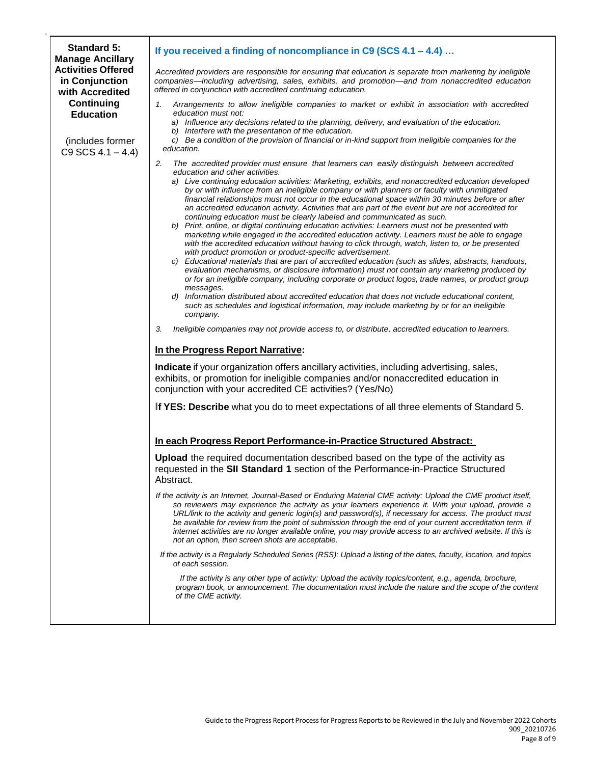| <b>Standard 5:</b><br><b>Manage Ancillary</b>                  | If you received a finding of noncompliance in C9 (SCS 4.1 - 4.4)                                                                                                                                                                                                                                                                                                                                                                                                                                                                                                                                                                                                                                                                                                                                                                                                                                                                                                                                                                                                                                                                                                                                                                                                                                                                                                                                                                                                                                                                                                                                                                                                                                                                                                                                                                                                                                                                          |
|----------------------------------------------------------------|-------------------------------------------------------------------------------------------------------------------------------------------------------------------------------------------------------------------------------------------------------------------------------------------------------------------------------------------------------------------------------------------------------------------------------------------------------------------------------------------------------------------------------------------------------------------------------------------------------------------------------------------------------------------------------------------------------------------------------------------------------------------------------------------------------------------------------------------------------------------------------------------------------------------------------------------------------------------------------------------------------------------------------------------------------------------------------------------------------------------------------------------------------------------------------------------------------------------------------------------------------------------------------------------------------------------------------------------------------------------------------------------------------------------------------------------------------------------------------------------------------------------------------------------------------------------------------------------------------------------------------------------------------------------------------------------------------------------------------------------------------------------------------------------------------------------------------------------------------------------------------------------------------------------------------------------|
| <b>Activities Offered</b><br>in Conjunction<br>with Accredited | Accredited providers are responsible for ensuring that education is separate from marketing by ineligible<br>companies—including advertising, sales, exhibits, and promotion—and from nonaccredited education<br>offered in conjunction with accredited continuing education.                                                                                                                                                                                                                                                                                                                                                                                                                                                                                                                                                                                                                                                                                                                                                                                                                                                                                                                                                                                                                                                                                                                                                                                                                                                                                                                                                                                                                                                                                                                                                                                                                                                             |
| <b>Continuing</b><br><b>Education</b>                          | Arrangements to allow ineligible companies to market or exhibit in association with accredited<br>1.<br>education must not:<br>a) Influence any decisions related to the planning, delivery, and evaluation of the education.                                                                                                                                                                                                                                                                                                                                                                                                                                                                                                                                                                                                                                                                                                                                                                                                                                                                                                                                                                                                                                                                                                                                                                                                                                                                                                                                                                                                                                                                                                                                                                                                                                                                                                             |
| (includes former<br>$C9$ SCS $4.1 - 4.4$ )                     | b) Interfere with the presentation of the education.<br>c) Be a condition of the provision of financial or in-kind support from ineligible companies for the<br>education.                                                                                                                                                                                                                                                                                                                                                                                                                                                                                                                                                                                                                                                                                                                                                                                                                                                                                                                                                                                                                                                                                                                                                                                                                                                                                                                                                                                                                                                                                                                                                                                                                                                                                                                                                                |
|                                                                | 2.<br>The accredited provider must ensure that learners can easily distinguish between accredited<br>education and other activities.<br>a) Live continuing education activities: Marketing, exhibits, and nonaccredited education developed<br>by or with influence from an ineligible company or with planners or faculty with unmitigated<br>financial relationships must not occur in the educational space within 30 minutes before or after<br>an accredited education activity. Activities that are part of the event but are not accredited for<br>continuing education must be clearly labeled and communicated as such.<br>b) Print, online, or digital continuing education activities: Learners must not be presented with<br>marketing while engaged in the accredited education activity. Learners must be able to engage<br>with the accredited education without having to click through, watch, listen to, or be presented<br>with product promotion or product-specific advertisement.<br>Educational materials that are part of accredited education (such as slides, abstracts, handouts,<br>evaluation mechanisms, or disclosure information) must not contain any marketing produced by<br>or for an ineligible company, including corporate or product logos, trade names, or product group<br>messages.<br>d) Information distributed about accredited education that does not include educational content,<br>such as schedules and logistical information, may include marketing by or for an ineligible<br>company.<br>Ineligible companies may not provide access to, or distribute, accredited education to learners.<br>3.<br>In the Progress Report Narrative:<br>Indicate if your organization offers ancillary activities, including advertising, sales,<br>exhibits, or promotion for ineligible companies and/or nonaccredited education in<br>conjunction with your accredited CE activities? (Yes/No) |
|                                                                | If YES: Describe what you do to meet expectations of all three elements of Standard 5.                                                                                                                                                                                                                                                                                                                                                                                                                                                                                                                                                                                                                                                                                                                                                                                                                                                                                                                                                                                                                                                                                                                                                                                                                                                                                                                                                                                                                                                                                                                                                                                                                                                                                                                                                                                                                                                    |
|                                                                | In each Progress Report Performance-in-Practice Structured Abstract:                                                                                                                                                                                                                                                                                                                                                                                                                                                                                                                                                                                                                                                                                                                                                                                                                                                                                                                                                                                                                                                                                                                                                                                                                                                                                                                                                                                                                                                                                                                                                                                                                                                                                                                                                                                                                                                                      |
|                                                                | <b>Upload</b> the required documentation described based on the type of the activity as<br>requested in the SII Standard 1 section of the Performance-in-Practice Structured<br>Abstract.                                                                                                                                                                                                                                                                                                                                                                                                                                                                                                                                                                                                                                                                                                                                                                                                                                                                                                                                                                                                                                                                                                                                                                                                                                                                                                                                                                                                                                                                                                                                                                                                                                                                                                                                                 |
|                                                                | If the activity is an Internet, Journal-Based or Enduring Material CME activity: Upload the CME product itself,<br>so reviewers may experience the activity as your learners experience it. With your upload, provide a<br>URL/link to the activity and generic login(s) and password(s), if necessary for access. The product must<br>be available for review from the point of submission through the end of your current accreditation term. If<br>internet activities are no longer available online, you may provide access to an archived website. If this is<br>not an option, then screen shots are acceptable.                                                                                                                                                                                                                                                                                                                                                                                                                                                                                                                                                                                                                                                                                                                                                                                                                                                                                                                                                                                                                                                                                                                                                                                                                                                                                                                   |
|                                                                | If the activity is a Regularly Scheduled Series (RSS): Upload a listing of the dates, faculty, location, and topics<br>of each session.                                                                                                                                                                                                                                                                                                                                                                                                                                                                                                                                                                                                                                                                                                                                                                                                                                                                                                                                                                                                                                                                                                                                                                                                                                                                                                                                                                                                                                                                                                                                                                                                                                                                                                                                                                                                   |
|                                                                | If the activity is any other type of activity: Upload the activity topics/content, e.g., agenda, brochure,<br>program book, or announcement. The documentation must include the nature and the scope of the content<br>of the CME activity.                                                                                                                                                                                                                                                                                                                                                                                                                                                                                                                                                                                                                                                                                                                                                                                                                                                                                                                                                                                                                                                                                                                                                                                                                                                                                                                                                                                                                                                                                                                                                                                                                                                                                               |
|                                                                |                                                                                                                                                                                                                                                                                                                                                                                                                                                                                                                                                                                                                                                                                                                                                                                                                                                                                                                                                                                                                                                                                                                                                                                                                                                                                                                                                                                                                                                                                                                                                                                                                                                                                                                                                                                                                                                                                                                                           |